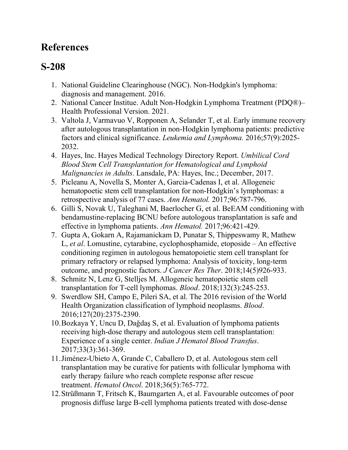## **References**

## **S-208**

- 1. National Guideline Clearinghouse (NGC). Non-Hodgkin's lymphoma: diagnosis and management. 2016.
- 2. National Cancer Institue. Adult Non-Hodgkin Lymphoma Treatment (PDQ®)– Health Professional Version. 2021.
- 3. Valtola J, Varmavuo V, Ropponen A, Selander T, et al. Early immune recovery after autologous transplantation in non-Hodgkin lymphoma patients: predictive factors and clinical significance. *Leukemia and Lymphoma.* 2016;57(9):2025- 2032.
- 4. Hayes, Inc. Hayes Medical Technology Directory Report. *Umbilical Cord Blood Stem Cell Transplantation for Hematological and Lymphoid Malignancies in Adults*. Lansdale, PA: Hayes, Inc.; December, 2017.
- 5. Picleanu A, Novella S, Monter A, Garcia-Cadenas I, et al. Allogeneic hematopoetic stem cell transplantation for non-Hodgkin's lymphomas: a retrospective analysis of 77 cases. *Ann Hematol.* 2017;96:787-796.
- 6. Gilli S, Novak U, Taleghani M, Baerlocher G, et al. BeEAM conditioning with bendamustine-replacing BCNU before autologous transplantation is safe and effective in lymphoma patients. *Ann Hematol.* 2017;96:421-429.
- 7. Gupta A, Gokarn A, Rajamanickam D, Punatar S, Thippeswamy R, Mathew L, *et al*. Lomustine, cytarabine, cyclophosphamide, etoposide – An effective conditioning regimen in autologous hematopoietic stem cell transplant for primary refractory or relapsed lymphoma: Analysis of toxicity, long-term outcome, and prognostic factors. *J Cancer Res Ther*. 2018;14(5)926-933.
- 8. Schmitz N, Lenz G, Stelljes M. Allogeneic hematopoietic stem cell transplantation for T-cell lymphomas. *Blood*. 2018;132(3):245-253.
- 9. Swerdlow SH, Campo E, Pileri SA, et al. The 2016 revision of the World Health Organization classification of lymphoid neoplasms. *Blood*. 2016;127(20):2375-2390.
- 10.Bozkaya Y, Uncu D, Dağdaş S, et al. Evaluation of lymphoma patients receiving high-dose therapy and autologous stem cell transplantation: Experience of a single center. *Indian J Hematol Blood Transfus*. 2017;33(3):361-369.
- 11.Jiménez-Ubieto A, Grande C, Caballero D, et al. Autologous stem cell transplantation may be curative for patients with follicular lymphoma with early therapy failure who reach complete response after rescue treatment. *Hematol Oncol*. 2018;36(5):765-772.
- 12.Strüßmann T, Fritsch K, Baumgarten A, et al. Favourable outcomes of poor prognosis diffuse large B-cell lymphoma patients treated with dose-dense